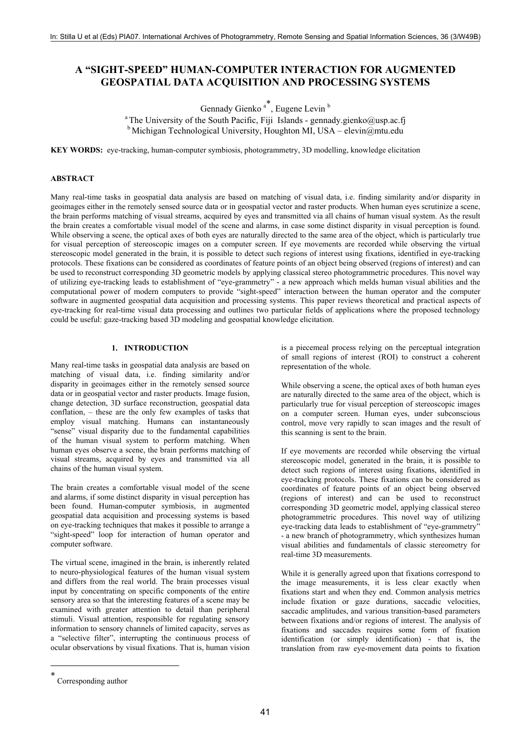# **A "SIGHT-SPEED" HUMAN-COMPUTER INTERACTION FOR AUGMENTED GEOSPATIAL DATA ACQUISITION AND PROCESSING SYSTEMS**

Gennady Gienko<sup>a\*</sup>, Eugene Levin<sup>b</sup>

<sup>a</sup> The University of the South Pacific, Fiji Islands - gennady.gienko@usp.ac.fj  $<sup>b</sup>$  Michigan Technological University, Houghton MI, USA – elevin $@$ mtu.edu</sup>

**KEY WORDS:** eye-tracking, human-computer symbiosis, photogrammetry, 3D modelling, knowledge elicitation

## **ABSTRACT**

Many real-time tasks in geospatial data analysis are based on matching of visual data, i.e. finding similarity and/or disparity in geoimages either in the remotely sensed source data or in geospatial vector and raster products. When human eyes scrutinize a scene, the brain performs matching of visual streams, acquired by eyes and transmitted via all chains of human visual system. As the result the brain creates a comfortable visual model of the scene and alarms, in case some distinct disparity in visual perception is found. While observing a scene, the optical axes of both eyes are naturally directed to the same area of the object, which is particularly true for visual perception of stereoscopic images on a computer screen. If eye movements are recorded while observing the virtual stereoscopic model generated in the brain, it is possible to detect such regions of interest using fixations, identified in eye-tracking protocols. These fixations can be considered as coordinates of feature points of an object being observed (regions of interest) and can be used to reconstruct corresponding 3D geometric models by applying classical stereo photogrammetric procedures. This novel way of utilizing eye-tracking leads to establishment of "eye-grammetry" - a new approach which melds human visual abilities and the computational power of modern computers to provide "sight-speed" interaction between the human operator and the computer software in augmented geospatial data acquisition and processing systems. This paper reviews theoretical and practical aspects of eye-tracking for real-time visual data processing and outlines two particular fields of applications where the proposed technology could be useful: gaze-tracking based 3D modeling and geospatial knowledge elicitation.

# **1. INTRODUCTION**

Many real-time tasks in geospatial data analysis are based on matching of visual data, i.e. finding similarity and/or disparity in geoimages either in the remotely sensed source data or in geospatial vector and raster products. Image fusion, change detection, 3D surface reconstruction, geospatial data conflation, – these are the only few examples of tasks that employ visual matching. Humans can instantaneously "sense" visual disparity due to the fundamental capabilities of the human visual system to perform matching. When human eyes observe a scene, the brain performs matching of visual streams, acquired by eyes and transmitted via all chains of the human visual system.

The brain creates a comfortable visual model of the scene and alarms, if some distinct disparity in visual perception has been found. Human-computer symbiosis, in augmented geospatial data acquisition and processing systems is based on eye-tracking techniques that makes it possible to arrange a "sight-speed" loop for interaction of human operator and computer software.

The virtual scene, imagined in the brain, is inherently related to neuro-physiological features of the human visual system and differs from the real world. The brain processes visual input by concentrating on specific components of the entire sensory area so that the interesting features of a scene may be examined with greater attention to detail than peripheral stimuli. Visual attention, responsible for regulating sensory information to sensory channels of limited capacity, serves as a "selective filter", interrupting the continuous process of ocular observations by visual fixations. That is, human vision is a piecemeal process relying on the perceptual integration of small regions of interest (ROI) to construct a coherent representation of the whole.

While observing a scene, the optical axes of both human eyes are naturally directed to the same area of the object, which is particularly true for visual perception of stereoscopic images on a computer screen. Human eyes, under subconscious control, move very rapidly to scan images and the result of this scanning is sent to the brain.

If eye movements are recorded while observing the virtual stereoscopic model, generated in the brain, it is possible to detect such regions of interest using fixations, identified in eye-tracking protocols. These fixations can be considered as coordinates of feature points of an object being observed (regions of interest) and can be used to reconstruct corresponding 3D geometric model, applying classical stereo photogrammetric procedures. This novel way of utilizing eye-tracking data leads to establishment of "eye-grammetry" - a new branch of photogrammetry, which synthesizes human visual abilities and fundamentals of classic stereometry for real-time 3D measurements.

While it is generally agreed upon that fixations correspond to the image measurements, it is less clear exactly when fixations start and when they end. Common analysis metrics include fixation or gaze durations, saccadic velocities, saccadic amplitudes, and various transition-based parameters between fixations and/or regions of interest. The analysis of fixations and saccades requires some form of fixation identification (or simply identification) - that is, the translation from raw eye-movement data points to fixation

 $\overline{a}$ 

<sup>∗</sup> Corresponding author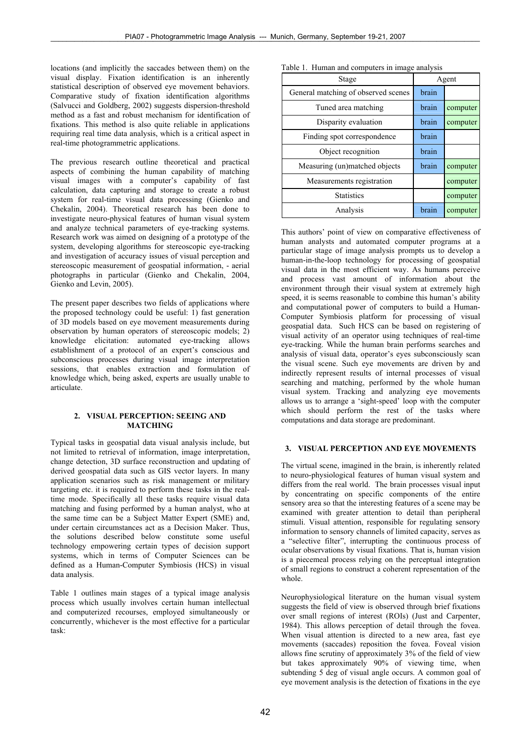locations (and implicitly the saccades between them) on the visual display. Fixation identification is an inherently statistical description of observed eye movement behaviors. Comparative study of fixation identification algorithms (Salvucci and Goldberg, 2002) suggests dispersion-threshold method as a fast and robust mechanism for identification of fixations. This method is also quite reliable in applications requiring real time data analysis, which is a critical aspect in real-time photogrammetric applications.

The previous research outline theoretical and practical aspects of combining the human capability of matching visual images with a computer's capability of fast calculation, data capturing and storage to create a robust system for real-time visual data processing (Gienko and Chekalin, 2004). Theoretical research has been done to investigate neuro-physical features of human visual system and analyze technical parameters of eye-tracking systems. Research work was aimed on designing of a prototype of the system, developing algorithms for stereoscopic eye-tracking and investigation of accuracy issues of visual perception and stereoscopic measurement of geospatial information, - aerial photographs in particular (Gienko and Chekalin, 2004, Gienko and Levin, 2005).

The present paper describes two fields of applications where the proposed technology could be useful: 1) fast generation of 3D models based on eye movement measurements during observation by human operators of stereoscopic models; 2) knowledge elicitation: automated eye-tracking allows establishment of a protocol of an expert's conscious and subconscious processes during visual image interpretation sessions, that enables extraction and formulation of knowledge which, being asked, experts are usually unable to articulate.

# **2. VISUAL PERCEPTION: SEEING AND MATCHING**

Typical tasks in geospatial data visual analysis include, but not limited to retrieval of information, image interpretation, change detection, 3D surface reconstruction and updating of derived geospatial data such as GIS vector layers. In many application scenarios such as risk management or military targeting etc. it is required to perform these tasks in the realtime mode. Specifically all these tasks require visual data matching and fusing performed by a human analyst, who at the same time can be a Subject Matter Expert (SME) and, under certain circumstances act as a Decision Maker. Thus, the solutions described below constitute some useful technology empowering certain types of decision support systems, which in terms of Computer Sciences can be defined as a Human-Computer Symbiosis (HCS) in visual data analysis.

Table 1 outlines main stages of a typical image analysis process which usually involves certain human intellectual and computerized recourses, employed simultaneously or concurrently, whichever is the most effective for a particular task:

| Stage                               | Agent |          |
|-------------------------------------|-------|----------|
| General matching of observed scenes | brain |          |
| Tuned area matching                 | brain | computer |
| Disparity evaluation                | brain | computer |
| Finding spot correspondence         | brain |          |
| Object recognition                  | brain |          |
| Measuring (un)matched objects       | brain | computer |
| Measurements registration           |       | computer |
| <b>Statistics</b>                   |       | computer |
| Analysis                            | brain | computer |

|  | Table 1. Human and computers in image analysis |  |  |
|--|------------------------------------------------|--|--|
|  |                                                |  |  |

This authors' point of view on comparative effectiveness of human analysts and automated computer programs at a particular stage of image analysis prompts us to develop a human-in-the-loop technology for processing of geospatial visual data in the most efficient way. As humans perceive and process vast amount of information about the environment through their visual system at extremely high speed, it is seems reasonable to combine this human's ability and computational power of computers to build a Human-Computer Symbiosis platform for processing of visual geospatial data. Such HCS can be based on registering of visual activity of an operator using techniques of real-time eye-tracking. While the human brain performs searches and analysis of visual data, operator's eyes subconsciously scan the visual scene. Such eye movements are driven by and indirectly represent results of internal processes of visual searching and matching, performed by the whole human visual system. Tracking and analyzing eye movements allows us to arrange a 'sight-speed' loop with the computer which should perform the rest of the tasks where computations and data storage are predominant.

# **3. VISUAL PERCEPTION AND EYE MOVEMENTS**

The virtual scene, imagined in the brain, is inherently related to neuro-physiological features of human visual system and differs from the real world. The brain processes visual input by concentrating on specific components of the entire sensory area so that the interesting features of a scene may be examined with greater attention to detail than peripheral stimuli. Visual attention, responsible for regulating sensory information to sensory channels of limited capacity, serves as a "selective filter", interrupting the continuous process of ocular observations by visual fixations. That is, human vision is a piecemeal process relying on the perceptual integration of small regions to construct a coherent representation of the whole.

Neurophysiological literature on the human visual system suggests the field of view is observed through brief fixations over small regions of interest (ROIs) (Just and Carpenter, 1984). This allows perception of detail through the fovea. When visual attention is directed to a new area, fast eye movements (saccades) reposition the fovea. Foveal vision allows fine scrutiny of approximately 3% of the field of view but takes approximately 90% of viewing time, when subtending 5 deg of visual angle occurs. A common goal of eye movement analysis is the detection of fixations in the eye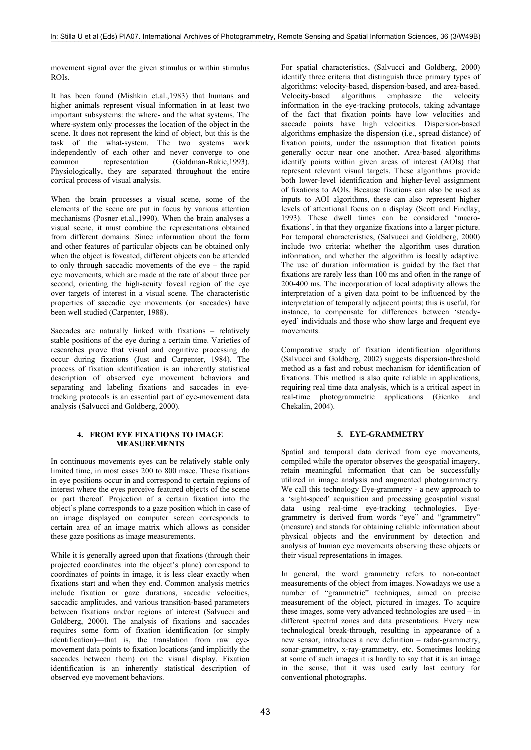movement signal over the given stimulus or within stimulus ROIs.

It has been found (Mishkin et.al.,1983) that humans and higher animals represent visual information in at least two important subsystems: the where- and the what systems. The where-system only processes the location of the object in the scene. It does not represent the kind of object, but this is the task of the what-system. The two systems work independently of each other and never converge to one common representation (Goldman-Rakic,1993). Physiologically, they are separated throughout the entire cortical process of visual analysis.

When the brain processes a visual scene, some of the elements of the scene are put in focus by various attention mechanisms (Posner et.al.,1990). When the brain analyses a visual scene, it must combine the representations obtained from different domains. Since information about the form and other features of particular objects can be obtained only when the object is foveated, different objects can be attended to only through saccadic movements of the  $e$ ve – the rapid eye movements, which are made at the rate of about three per second, orienting the high-acuity foveal region of the eye over targets of interest in a visual scene. The characteristic properties of saccadic eye movements (or saccades) have been well studied (Carpenter, 1988).

Saccades are naturally linked with fixations – relatively stable positions of the eye during a certain time. Varieties of researches prove that visual and cognitive processing do occur during fixations (Just and Carpenter, 1984). The process of fixation identification is an inherently statistical description of observed eye movement behaviors and separating and labeling fixations and saccades in eyetracking protocols is an essential part of eye-movement data analysis (Salvucci and Goldberg, 2000).

## **4. FROM EYE FIXATIONS TO IMAGE MEASUREMENTS**

In continuous movements eyes can be relatively stable only limited time, in most cases 200 to 800 msec. These fixations in eye positions occur in and correspond to certain regions of interest where the eyes perceive featured objects of the scene or part thereof. Projection of a certain fixation into the object's plane corresponds to a gaze position which in case of an image displayed on computer screen corresponds to certain area of an image matrix which allows as consider these gaze positions as image measurements.

While it is generally agreed upon that fixations (through their projected coordinates into the object's plane) correspond to coordinates of points in image, it is less clear exactly when fixations start and when they end. Common analysis metrics include fixation or gaze durations, saccadic velocities, saccadic amplitudes, and various transition-based parameters between fixations and/or regions of interest (Salvucci and Goldberg, 2000). The analysis of fixations and saccades requires some form of fixation identification (or simply identification)—that is, the translation from raw eyemovement data points to fixation locations (and implicitly the saccades between them) on the visual display. Fixation identification is an inherently statistical description of observed eye movement behaviors.

For spatial characteristics, (Salvucci and Goldberg, 2000) identify three criteria that distinguish three primary types of algorithms: velocity-based, dispersion-based, and area-based. Velocity-based algorithms emphasize the velocity information in the eye-tracking protocols, taking advantage of the fact that fixation points have low velocities and saccade points have high velocities. Dispersion-based algorithms emphasize the dispersion (i.e., spread distance) of fixation points, under the assumption that fixation points generally occur near one another. Area-based algorithms identify points within given areas of interest (AOIs) that represent relevant visual targets. These algorithms provide both lower-level identification and higher-level assignment of fixations to AOIs. Because fixations can also be used as inputs to AOI algorithms, these can also represent higher levels of attentional focus on a display (Scott and Findlay, 1993). These dwell times can be considered 'macrofixations', in that they organize fixations into a larger picture. For temporal characteristics, (Salvucci and Goldberg, 2000) include two criteria: whether the algorithm uses duration information, and whether the algorithm is locally adaptive. The use of duration information is guided by the fact that fixations are rarely less than 100 ms and often in the range of 200-400 ms. The incorporation of local adaptivity allows the interpretation of a given data point to be influenced by the interpretation of temporally adjacent points; this is useful, for instance, to compensate for differences between 'steadyeyed' individuals and those who show large and frequent eye movements.

Comparative study of fixation identification algorithms (Salvucci and Goldberg, 2002) suggests dispersion-threshold method as a fast and robust mechanism for identification of fixations. This method is also quite reliable in applications, requiring real time data analysis, which is a critical aspect in real-time photogrammetric applications (Gienko and  $Chekalin$ ,  $2004$ 

## **5. EYE-GRAMMETRY**

Spatial and temporal data derived from eye movements, compiled while the operator observes the geospatial imagery, retain meaningful information that can be successfully utilized in image analysis and augmented photogrammetry. We call this technology Eye-grammetry - a new approach to a 'sight-speed' acquisition and processing geospatial visual data using real-time eye-tracking technologies. Evegrammetry is derived from words "eye" and "grammetry" (measure) and stands for obtaining reliable information about physical objects and the environment by detection and analysis of human eye movements observing these objects or their visual representations in images.

In general, the word grammetry refers to non-contact measurements of the object from images. Nowadays we use a number of "grammetric" techniques, aimed on precise measurement of the object, pictured in images. To acquire these images, some very advanced technologies are used – in different spectral zones and data presentations. Every new technological break-through, resulting in appearance of a new sensor, introduces a new definition – radar-grammetry, sonar-grammetry, x-ray-grammetry, etc. Sometimes looking at some of such images it is hardly to say that it is an image in the sense, that it was used early last century for conventional photographs.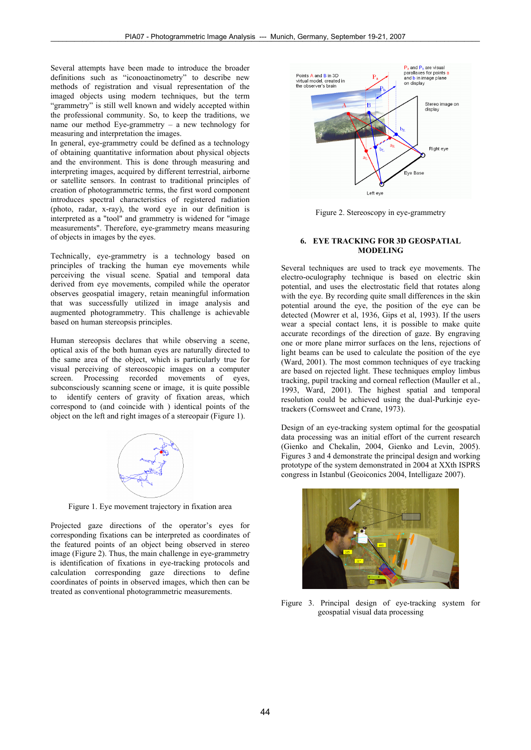Several attempts have been made to introduce the broader definitions such as "iconoactinometry" to describe new methods of registration and visual representation of the imaged objects using modern techniques, but the term "grammetry" is still well known and widely accepted within the professional community. So, to keep the traditions, we name our method Eye-grammetry – a new technology for measuring and interpretation the images.

In general, eye-grammetry could be defined as a technology of obtaining quantitative information about physical objects and the environment. This is done through measuring and interpreting images, acquired by different terrestrial, airborne or satellite sensors. In contrast to traditional principles of creation of photogrammetric terms, the first word component introduces spectral characteristics of registered radiation (photo, radar, x-ray), the word eye in our definition is interpreted as a "tool" and grammetry is widened for "image measurements". Therefore, eye-grammetry means measuring of objects in images by the eyes.

Technically, eye-grammetry is a technology based on principles of tracking the human eye movements while perceiving the visual scene. Spatial and temporal data derived from eye movements, compiled while the operator observes geospatial imagery, retain meaningful information that was successfully utilized in image analysis and augmented photogrammetry. This challenge is achievable based on human stereopsis principles.

Human stereopsis declares that while observing a scene, optical axis of the both human eyes are naturally directed to the same area of the object, which is particularly true for visual perceiving of stereoscopic images on a computer screen. Processing recorded movements of eyes, subconsciously scanning scene or image, it is quite possible identify centers of gravity of fixation areas, which correspond to (and coincide with ) identical points of the object on the left and right images of a stereopair (Figure 1).



Figure 1. Eye movement trajectory in fixation area

Projected gaze directions of the operator's eyes for corresponding fixations can be interpreted as coordinates of the featured points of an object being observed in stereo image (Figure 2). Thus, the main challenge in eye-grammetry is identification of fixations in eye-tracking protocols and calculation corresponding gaze directions to define coordinates of points in observed images, which then can be treated as conventional photogrammetric measurements.



Figure 2. Stereoscopy in eye-grammetry

### **6. EYE TRACKING FOR 3D GEOSPATIAL MODELING**

Several techniques are used to track eye movements. The electro-oculography technique is based on electric skin potential, and uses the electrostatic field that rotates along with the eye. By recording quite small differences in the skin potential around the eye, the position of the eye can be detected (Mowrer et al, 1936, Gips et al, 1993). If the users wear a special contact lens, it is possible to make quite accurate recordings of the direction of gaze. By engraving one or more plane mirror surfaces on the lens, rejections of light beams can be used to calculate the position of the eye (Ward, 2001). The most common techniques of eye tracking are based on rejected light. These techniques employ limbus tracking, pupil tracking and corneal reflection (Mauller et al., 1993, Ward, 2001). The highest spatial and temporal resolution could be achieved using the dual-Purkinje eyetrackers (Cornsweet and Crane, 1973).

Design of an eye-tracking system optimal for the geospatial data processing was an initial effort of the current research (Gienko and Chekalin, 2004, Gienko and Levin, 2005). Figures 3 and 4 demonstrate the principal design and working prototype of the system demonstrated in 2004 at XXth ISPRS congress in Istanbul (Geoiconics 2004, Intelligaze 2007).



Figure 3. Principal design of eye-tracking system for geospatial visual data processing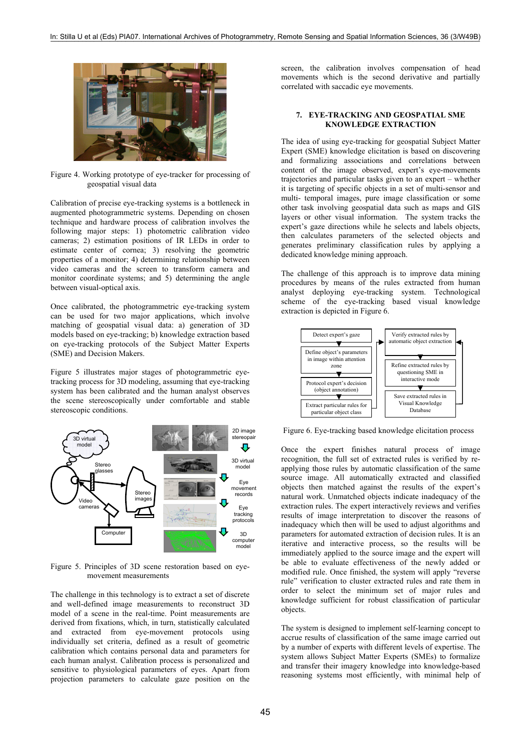

Figure 4. Working prototype of eye-tracker for processing of geospatial visual data

Calibration of precise eye-tracking systems is a bottleneck in augmented photogrammetric systems. Depending on chosen technique and hardware process of calibration involves the following major steps: 1) photometric calibration video cameras; 2) estimation positions of IR LEDs in order to estimate center of cornea; 3) resolving the geometric properties of a monitor; 4) determining relationship between video cameras and the screen to transform camera and monitor coordinate systems; and 5) determining the angle between visual-optical axis.

Once calibrated, the photogrammetric eye-tracking system can be used for two major applications, which involve matching of geospatial visual data: a) generation of 3D models based on eye-tracking; b) knowledge extraction based on eye-tracking protocols of the Subject Matter Experts (SME) and Decision Makers.

Figure 5 illustrates major stages of photogrammetric eyetracking process for 3D modeling, assuming that eye-tracking system has been calibrated and the human analyst observes the scene stereoscopically under comfortable and stable stereoscopic conditions.



Figure 5. Principles of 3D scene restoration based on eyemovement measurements

The challenge in this technology is to extract a set of discrete and well-defined image measurements to reconstruct 3D model of a scene in the real-time. Point measurements are derived from fixations, which, in turn, statistically calculated and extracted from eye-movement protocols using individually set criteria, defined as a result of geometric calibration which contains personal data and parameters for each human analyst. Calibration process is personalized and sensitive to physiological parameters of eyes. Apart from projection parameters to calculate gaze position on the

screen, the calibration involves compensation of head movements which is the second derivative and partially correlated with saccadic eye movements.

#### **7. EYE-TRACKING AND GEOSPATIAL SME KNOWLEDGE EXTRACTION**

The idea of using eye-tracking for geospatial Subject Matter Expert (SME) knowledge elicitation is based on discovering and formalizing associations and correlations between content of the image observed, expert's eye-movements trajectories and particular tasks given to an expert – whether it is targeting of specific objects in a set of multi-sensor and multi- temporal images, pure image classification or some other task involving geospatial data such as maps and GIS layers or other visual information. The system tracks the expert's gaze directions while he selects and labels objects, then calculates parameters of the selected objects and generates preliminary classification rules by applying a dedicated knowledge mining approach.

The challenge of this approach is to improve data mining procedures by means of the rules extracted from human analyst deploying eye-tracking system. Technological scheme of the eye-tracking based visual knowledge extraction is depicted in Figure 6.



Figure 6. Eye-tracking based knowledge elicitation process

Once the expert finishes natural process of image recognition, the full set of extracted rules is verified by reapplying those rules by automatic classification of the same source image. All automatically extracted and classified objects then matched against the results of the expert's natural work. Unmatched objects indicate inadequacy of the extraction rules. The expert interactively reviews and verifies results of image interpretation to discover the reasons of inadequacy which then will be used to adjust algorithms and parameters for automated extraction of decision rules. It is an iterative and interactive process, so the results will be immediately applied to the source image and the expert will be able to evaluate effectiveness of the newly added or modified rule. Once finished, the system will apply "reverse rule" verification to cluster extracted rules and rate them in order to select the minimum set of major rules and knowledge sufficient for robust classification of particular objects.

The system is designed to implement self-learning concept to accrue results of classification of the same image carried out by a number of experts with different levels of expertise. The system allows Subject Matter Experts (SMEs) to formalize and transfer their imagery knowledge into knowledge-based reasoning systems most efficiently, with minimal help of